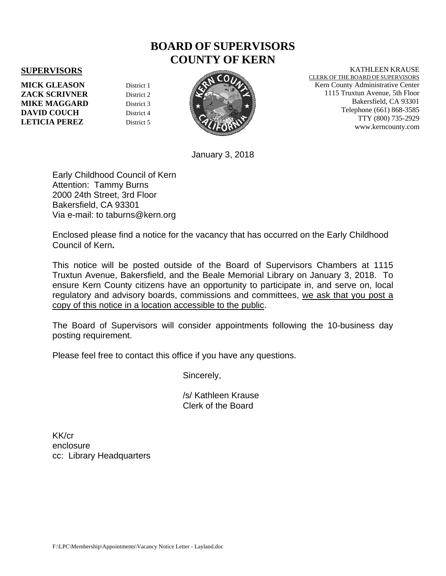## **BOARD OF SUPERVISORS COUNTY OF KERN**

## **SUPERVISORS**

**MICK GLEASON** District 1 **ZACK SCRIVNER** District 2 **MIKE MAGGARD** District 3 **DAVID COUCH** District 4 **LETICIA PEREZ** District 5



January 3, 2018

Early Childhood Council of Kern Attention: Tammy Burns 2000 24th Street, 3rd Floor Bakersfield, CA 93301 Via e-mail: to taburns@kern.org

Enclosed please find a notice for the vacancy that has occurred on the Early Childhood Council of Kern**.**

This notice will be posted outside of the Board of Supervisors Chambers at 1115 Truxtun Avenue, Bakersfield, and the Beale Memorial Library on January 3, 2018. To ensure Kern County citizens have an opportunity to participate in, and serve on, local regulatory and advisory boards, commissions and committees, we ask that you post a copy of this notice in a location accessible to the public.

The Board of Supervisors will consider appointments following the 10-business day posting requirement.

Please feel free to contact this office if you have any questions.

Sincerely,

 /s/ Kathleen Krause Clerk of the Board

KK/cr enclosure cc: Library Headquarters KATHLEEN KRAUSE

CLERK OF THE BOARD OF SUPERVISORS Kern County Administrative Center 1115 Truxtun Avenue, 5th Floor Bakersfield, CA 93301 Telephone (661) 868-3585 TTY (800) 735-2929 www.kerncounty.com